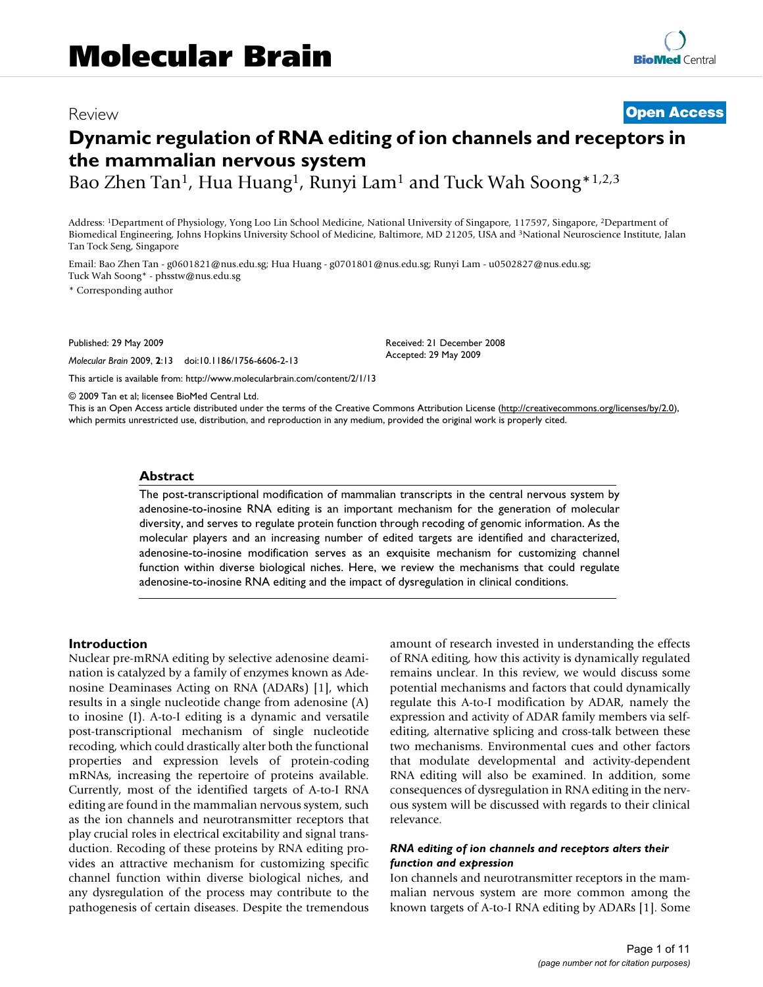# Review **[Open Access](http://www.biomedcentral.com/info/about/charter/)**

# **Dynamic regulation of RNA editing of ion channels and receptors in the mammalian nervous system**

Bao Zhen Tan<sup>1</sup>, Hua Huang<sup>1</sup>, Runyi Lam<sup>1</sup> and Tuck Wah Soong\*<sup>1,2,3</sup>

Address: 1Department of Physiology, Yong Loo Lin School Medicine, National University of Singapore, 117597, Singapore, 2Department of Biomedical Engineering, Johns Hopkins University School of Medicine, Baltimore, MD 21205, USA and 3National Neuroscience Institute, Jalan Tan Tock Seng, Singapore

Email: Bao Zhen Tan - g0601821@nus.edu.sg; Hua Huang - g0701801@nus.edu.sg; Runyi Lam - u0502827@nus.edu.sg; Tuck Wah Soong\* - phsstw@nus.edu.sg

\* Corresponding author

Published: 29 May 2009

*Molecular Brain* 2009, **2**:13 doi:10.1186/1756-6606-2-13

[This article is available from: http://www.molecularbrain.com/content/2/1/13](http://www.molecularbrain.com/content/2/1/13)

Accepted: 29 May 2009

Received: 21 December 2008

© 2009 Tan et al; licensee BioMed Central Ltd.

This is an Open Access article distributed under the terms of the Creative Commons Attribution License [\(http://creativecommons.org/licenses/by/2.0\)](http://creativecommons.org/licenses/by/2.0), which permits unrestricted use, distribution, and reproduction in any medium, provided the original work is properly cited.

#### **Abstract**

The post-transcriptional modification of mammalian transcripts in the central nervous system by adenosine-to-inosine RNA editing is an important mechanism for the generation of molecular diversity, and serves to regulate protein function through recoding of genomic information. As the molecular players and an increasing number of edited targets are identified and characterized, adenosine-to-inosine modification serves as an exquisite mechanism for customizing channel function within diverse biological niches. Here, we review the mechanisms that could regulate adenosine-to-inosine RNA editing and the impact of dysregulation in clinical conditions.

#### **Introduction**

Nuclear pre-mRNA editing by selective adenosine deamination is catalyzed by a family of enzymes known as Adenosine Deaminases Acting on RNA (ADARs) [1], which results in a single nucleotide change from adenosine (A) to inosine (I). A-to-I editing is a dynamic and versatile post-transcriptional mechanism of single nucleotide recoding, which could drastically alter both the functional properties and expression levels of protein-coding mRNAs, increasing the repertoire of proteins available. Currently, most of the identified targets of A-to-I RNA editing are found in the mammalian nervous system, such as the ion channels and neurotransmitter receptors that play crucial roles in electrical excitability and signal transduction. Recoding of these proteins by RNA editing provides an attractive mechanism for customizing specific channel function within diverse biological niches, and any dysregulation of the process may contribute to the pathogenesis of certain diseases. Despite the tremendous amount of research invested in understanding the effects of RNA editing, how this activity is dynamically regulated remains unclear. In this review, we would discuss some potential mechanisms and factors that could dynamically regulate this A-to-I modification by ADAR, namely the expression and activity of ADAR family members via selfediting, alternative splicing and cross-talk between these two mechanisms. Environmental cues and other factors that modulate developmental and activity-dependent RNA editing will also be examined. In addition, some consequences of dysregulation in RNA editing in the nervous system will be discussed with regards to their clinical relevance.

#### *RNA editing of ion channels and receptors alters their function and expression*

Ion channels and neurotransmitter receptors in the mammalian nervous system are more common among the known targets of A-to-I RNA editing by ADARs [1]. Some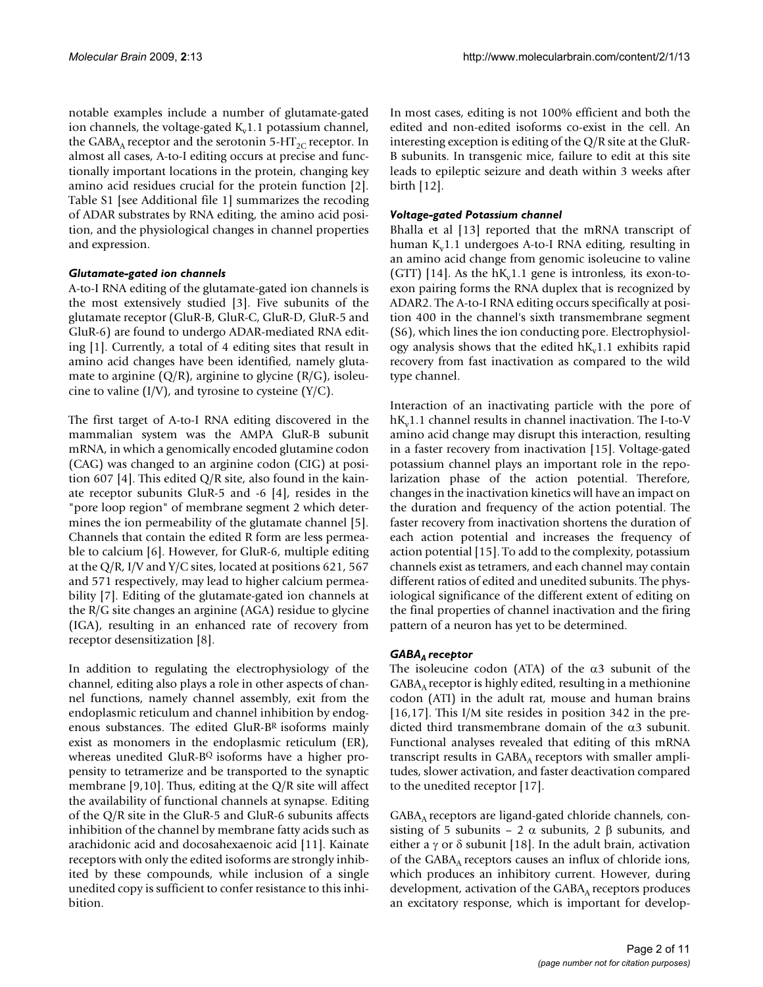notable examples include a number of glutamate-gated ion channels, the voltage-gated  $K<sub>v</sub>1.1$  potassium channel, the GABA<sub>A</sub> receptor and the serotonin 5-HT<sub>2C</sub> receptor. In almost all cases, A-to-I editing occurs at precise and functionally important locations in the protein, changing key amino acid residues crucial for the protein function [2]. Table S1 [see Additional file 1] summarizes the recoding of ADAR substrates by RNA editing, the amino acid position, and the physiological changes in channel properties and expression.

#### *Glutamate-gated ion channels*

A-to-I RNA editing of the glutamate-gated ion channels is the most extensively studied [3]. Five subunits of the glutamate receptor (GluR-B, GluR-C, GluR-D, GluR-5 and GluR-6) are found to undergo ADAR-mediated RNA editing [1]. Currently, a total of 4 editing sites that result in amino acid changes have been identified, namely glutamate to arginine  $(Q/R)$ , arginine to glycine  $(R/G)$ , isoleucine to valine  $(I/V)$ , and tyrosine to cysteine  $(Y/C)$ .

The first target of A-to-I RNA editing discovered in the mammalian system was the AMPA GluR-B subunit mRNA, in which a genomically encoded glutamine codon (CAG) was changed to an arginine codon (CIG) at position 607 [4]. This edited  $Q/R$  site, also found in the kainate receptor subunits GluR-5 and -6 [4], resides in the "pore loop region" of membrane segment 2 which determines the ion permeability of the glutamate channel [5]. Channels that contain the edited R form are less permeable to calcium [6]. However, for GluR-6, multiple editing at the Q/R, I/V and Y/C sites, located at positions 621, 567 and 571 respectively, may lead to higher calcium permeability [7]. Editing of the glutamate-gated ion channels at the R/G site changes an arginine (AGA) residue to glycine (IGA), resulting in an enhanced rate of recovery from receptor desensitization [8].

In addition to regulating the electrophysiology of the channel, editing also plays a role in other aspects of channel functions, namely channel assembly, exit from the endoplasmic reticulum and channel inhibition by endogenous substances. The edited GluR-BR isoforms mainly exist as monomers in the endoplasmic reticulum (ER), whereas unedited GluR-BQ isoforms have a higher propensity to tetramerize and be transported to the synaptic membrane [9,10]. Thus, editing at the Q/R site will affect the availability of functional channels at synapse. Editing of the Q/R site in the GluR-5 and GluR-6 subunits affects inhibition of the channel by membrane fatty acids such as arachidonic acid and docosahexaenoic acid [11]. Kainate receptors with only the edited isoforms are strongly inhibited by these compounds, while inclusion of a single unedited copy is sufficient to confer resistance to this inhibition.

In most cases, editing is not 100% efficient and both the edited and non-edited isoforms co-exist in the cell. An interesting exception is editing of the Q/R site at the GluR-B subunits. In transgenic mice, failure to edit at this site leads to epileptic seizure and death within 3 weeks after birth [12].

#### *Voltage-gated Potassium channel*

Bhalla et al [13] reported that the mRNA transcript of human  $K<sub>v</sub>1.1$  undergoes A-to-I RNA editing, resulting in an amino acid change from genomic isoleucine to valine (GTT) [14]. As the  $h_{v}$ 1.1 gene is intronless, its exon-toexon pairing forms the RNA duplex that is recognized by ADAR2. The A-to-I RNA editing occurs specifically at position 400 in the channel's sixth transmembrane segment (S6), which lines the ion conducting pore. Electrophysiology analysis shows that the edited  $h_{\rm w}1.1$  exhibits rapid recovery from fast inactivation as compared to the wild type channel.

Interaction of an inactivating particle with the pore of  $h_{v}1.1$  channel results in channel inactivation. The I-to-V amino acid change may disrupt this interaction, resulting in a faster recovery from inactivation [15]. Voltage-gated potassium channel plays an important role in the repolarization phase of the action potential. Therefore, changes in the inactivation kinetics will have an impact on the duration and frequency of the action potential. The faster recovery from inactivation shortens the duration of each action potential and increases the frequency of action potential [15]. To add to the complexity, potassium channels exist as tetramers, and each channel may contain different ratios of edited and unedited subunits. The physiological significance of the different extent of editing on the final properties of channel inactivation and the firing pattern of a neuron has yet to be determined.

# GABA<sub>A</sub> receptor

The isoleucine codon (ATA) of the  $\alpha$ 3 subunit of the  $GABA_A$  receptor is highly edited, resulting in a methionine codon (ATI) in the adult rat, mouse and human brains [16,17]. This I/M site resides in position 342 in the predicted third transmembrane domain of the  $\alpha$ 3 subunit. Functional analyses revealed that editing of this mRNA transcript results in  $GABA_A$  receptors with smaller amplitudes, slower activation, and faster deactivation compared to the unedited receptor [17].

 $GABA_A$  receptors are ligand-gated chloride channels, consisting of 5 subunits – 2  $\alpha$  subunits, 2  $\beta$  subunits, and either a  $\gamma$  or  $\delta$  subunit [18]. In the adult brain, activation of the  $GABA_A$  receptors causes an influx of chloride ions, which produces an inhibitory current. However, during development, activation of the  $GABA_A$  receptors produces an excitatory response, which is important for develop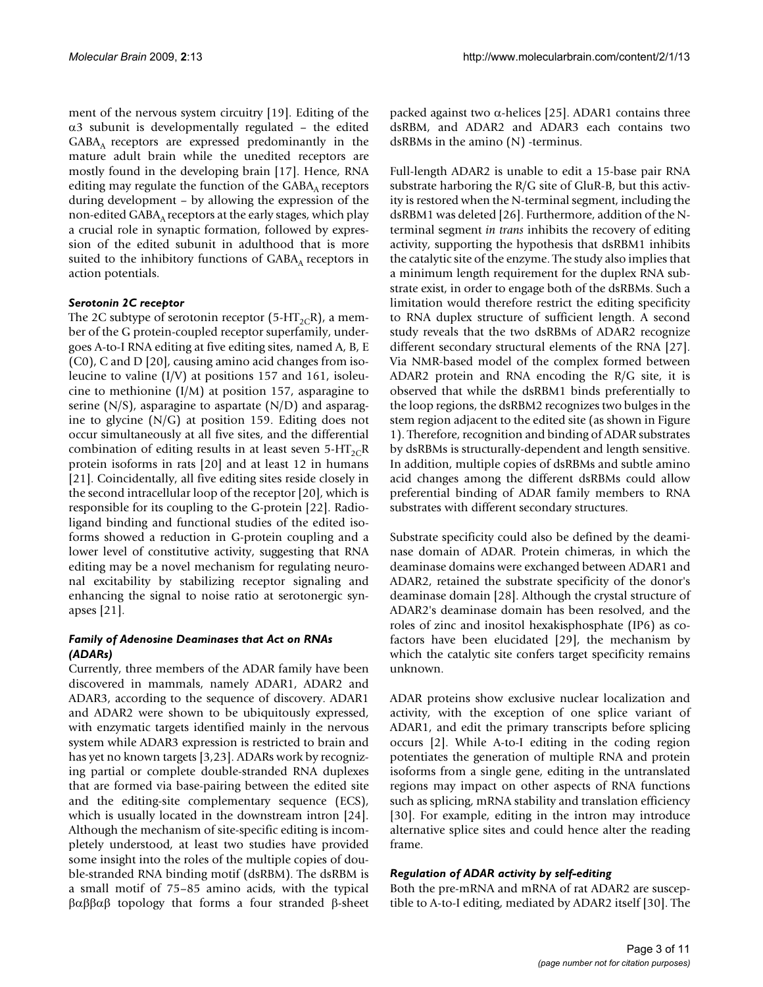ment of the nervous system circuitry [19]. Editing of the α3 subunit is developmentally regulated – the edited GABAA receptors are expressed predominantly in the mature adult brain while the unedited receptors are mostly found in the developing brain [17]. Hence, RNA editing may regulate the function of the  $GABA_A$  receptors during development – by allowing the expression of the non-edited  $GABA_A$  receptors at the early stages, which play a crucial role in synaptic formation, followed by expression of the edited subunit in adulthood that is more suited to the inhibitory functions of  $GABA_A$  receptors in action potentials.

#### *Serotonin 2C receptor*

The 2C subtype of serotonin receptor (5-HT<sub>2C</sub>R), a member of the G protein-coupled receptor superfamily, undergoes A-to-I RNA editing at five editing sites, named A, B, E (C0), C and D [20], causing amino acid changes from isoleucine to valine (I/V) at positions 157 and 161, isoleucine to methionine (I/M) at position 157, asparagine to serine  $(N/S)$ , asparagine to aspartate  $(N/D)$  and asparagine to glycine (N/G) at position 159. Editing does not occur simultaneously at all five sites, and the differential combination of editing results in at least seven  $5-HT_{2C}R$ protein isoforms in rats [20] and at least 12 in humans [21]. Coincidentally, all five editing sites reside closely in the second intracellular loop of the receptor [20], which is responsible for its coupling to the G-protein [22]. Radioligand binding and functional studies of the edited isoforms showed a reduction in G-protein coupling and a lower level of constitutive activity, suggesting that RNA editing may be a novel mechanism for regulating neuronal excitability by stabilizing receptor signaling and enhancing the signal to noise ratio at serotonergic synapses [21].

# *Family of Adenosine Deaminases that Act on RNAs (ADARs)*

Currently, three members of the ADAR family have been discovered in mammals, namely ADAR1, ADAR2 and ADAR3, according to the sequence of discovery. ADAR1 and ADAR2 were shown to be ubiquitously expressed, with enzymatic targets identified mainly in the nervous system while ADAR3 expression is restricted to brain and has yet no known targets [3,23]. ADARs work by recognizing partial or complete double-stranded RNA duplexes that are formed via base-pairing between the edited site and the editing-site complementary sequence (ECS), which is usually located in the downstream intron [24]. Although the mechanism of site-specific editing is incompletely understood, at least two studies have provided some insight into the roles of the multiple copies of double-stranded RNA binding motif (dsRBM). The dsRBM is a small motif of 75–85 amino acids, with the typical βαββαβ topology that forms a four stranded β-sheet

packed against two α-helices [25]. ADAR1 contains three dsRBM, and ADAR2 and ADAR3 each contains two dsRBMs in the amino (N) -terminus.

Full-length ADAR2 is unable to edit a 15-base pair RNA substrate harboring the R/G site of GluR-B, but this activity is restored when the N-terminal segment, including the dsRBM1 was deleted [26]. Furthermore, addition of the Nterminal segment *in trans* inhibits the recovery of editing activity, supporting the hypothesis that dsRBM1 inhibits the catalytic site of the enzyme. The study also implies that a minimum length requirement for the duplex RNA substrate exist, in order to engage both of the dsRBMs. Such a limitation would therefore restrict the editing specificity to RNA duplex structure of sufficient length. A second study reveals that the two dsRBMs of ADAR2 recognize different secondary structural elements of the RNA [27]. Via NMR-based model of the complex formed between ADAR2 protein and RNA encoding the R/G site, it is observed that while the dsRBM1 binds preferentially to the loop regions, the dsRBM2 recognizes two bulges in the stem region adjacent to the edited site (as shown in Figure 1). Therefore, recognition and binding of ADAR substrates by dsRBMs is structurally-dependent and length sensitive. In addition, multiple copies of dsRBMs and subtle amino acid changes among the different dsRBMs could allow preferential binding of ADAR family members to RNA substrates with different secondary structures.

Substrate specificity could also be defined by the deaminase domain of ADAR. Protein chimeras, in which the deaminase domains were exchanged between ADAR1 and ADAR2, retained the substrate specificity of the donor's deaminase domain [28]. Although the crystal structure of ADAR2's deaminase domain has been resolved, and the roles of zinc and inositol hexakisphosphate (IP6) as cofactors have been elucidated [29], the mechanism by which the catalytic site confers target specificity remains unknown.

ADAR proteins show exclusive nuclear localization and activity, with the exception of one splice variant of ADAR1, and edit the primary transcripts before splicing occurs [2]. While A-to-I editing in the coding region potentiates the generation of multiple RNA and protein isoforms from a single gene, editing in the untranslated regions may impact on other aspects of RNA functions such as splicing, mRNA stability and translation efficiency [30]. For example, editing in the intron may introduce alternative splice sites and could hence alter the reading frame.

# *Regulation of ADAR activity by self-editing*

Both the pre-mRNA and mRNA of rat ADAR2 are susceptible to A-to-I editing, mediated by ADAR2 itself [30]. The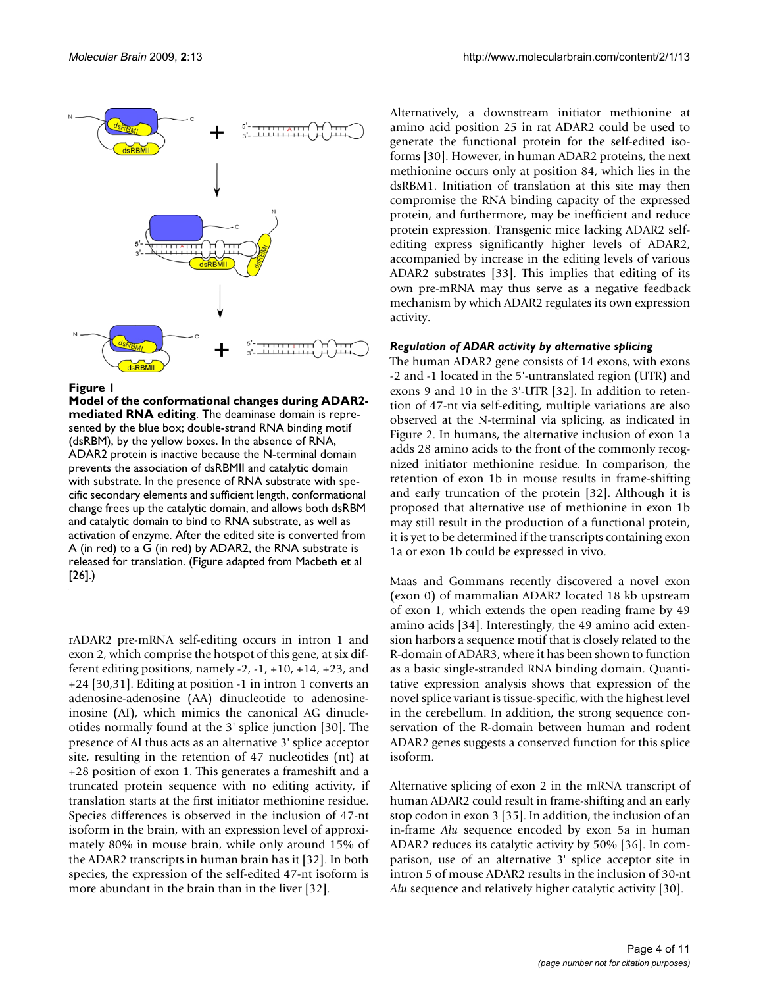

#### Figure 1

**Model of the conformational changes during ADAR2 mediated RNA editing**. The deaminase domain is represented by the blue box; double-strand RNA binding motif (dsRBM), by the yellow boxes. In the absence of RNA, ADAR2 protein is inactive because the N-terminal domain prevents the association of dsRBMII and catalytic domain with substrate. In the presence of RNA substrate with specific secondary elements and sufficient length, conformational change frees up the catalytic domain, and allows both dsRBM and catalytic domain to bind to RNA substrate, as well as activation of enzyme. After the edited site is converted from A (in red) to a G (in red) by ADAR2, the RNA substrate is released for translation. (Figure adapted from Macbeth et al [26].)

rADAR2 pre-mRNA self-editing occurs in intron 1 and exon 2, which comprise the hotspot of this gene, at six different editing positions, namely  $-2$ ,  $-1$ ,  $+10$ ,  $+14$ ,  $+23$ , and +24 [30,31]. Editing at position -1 in intron 1 converts an adenosine-adenosine (AA) dinucleotide to adenosineinosine (AI), which mimics the canonical AG dinucleotides normally found at the 3' splice junction [30]. The presence of AI thus acts as an alternative 3' splice acceptor site, resulting in the retention of 47 nucleotides (nt) at +28 position of exon 1. This generates a frameshift and a truncated protein sequence with no editing activity, if translation starts at the first initiator methionine residue. Species differences is observed in the inclusion of 47-nt isoform in the brain, with an expression level of approximately 80% in mouse brain, while only around 15% of the ADAR2 transcripts in human brain has it [32]. In both species, the expression of the self-edited 47-nt isoform is more abundant in the brain than in the liver [32].

Alternatively, a downstream initiator methionine at amino acid position 25 in rat ADAR2 could be used to generate the functional protein for the self-edited isoforms [30]. However, in human ADAR2 proteins, the next methionine occurs only at position 84, which lies in the dsRBM1. Initiation of translation at this site may then compromise the RNA binding capacity of the expressed protein, and furthermore, may be inefficient and reduce protein expression. Transgenic mice lacking ADAR2 selfediting express significantly higher levels of ADAR2, accompanied by increase in the editing levels of various ADAR2 substrates [33]. This implies that editing of its own pre-mRNA may thus serve as a negative feedback mechanism by which ADAR2 regulates its own expression activity.

#### *Regulation of ADAR activity by alternative splicing*

The human ADAR2 gene consists of 14 exons, with exons -2 and -1 located in the 5'-untranslated region (UTR) and exons 9 and 10 in the 3'-UTR [32]. In addition to retention of 47-nt via self-editing, multiple variations are also observed at the N-terminal via splicing, as indicated in Figure 2. In humans, the alternative inclusion of exon 1a adds 28 amino acids to the front of the commonly recognized initiator methionine residue. In comparison, the retention of exon 1b in mouse results in frame-shifting and early truncation of the protein [32]. Although it is proposed that alternative use of methionine in exon 1b may still result in the production of a functional protein, it is yet to be determined if the transcripts containing exon 1a or exon 1b could be expressed in vivo.

Maas and Gommans recently discovered a novel exon (exon 0) of mammalian ADAR2 located 18 kb upstream of exon 1, which extends the open reading frame by 49 amino acids [34]. Interestingly, the 49 amino acid extension harbors a sequence motif that is closely related to the R-domain of ADAR3, where it has been shown to function as a basic single-stranded RNA binding domain. Quantitative expression analysis shows that expression of the novel splice variant is tissue-specific, with the highest level in the cerebellum. In addition, the strong sequence conservation of the R-domain between human and rodent ADAR2 genes suggests a conserved function for this splice isoform.

Alternative splicing of exon 2 in the mRNA transcript of human ADAR2 could result in frame-shifting and an early stop codon in exon 3 [35]. In addition, the inclusion of an in-frame *Alu* sequence encoded by exon 5a in human ADAR2 reduces its catalytic activity by 50% [36]. In comparison, use of an alternative 3' splice acceptor site in intron 5 of mouse ADAR2 results in the inclusion of 30-nt *Alu* sequence and relatively higher catalytic activity [30].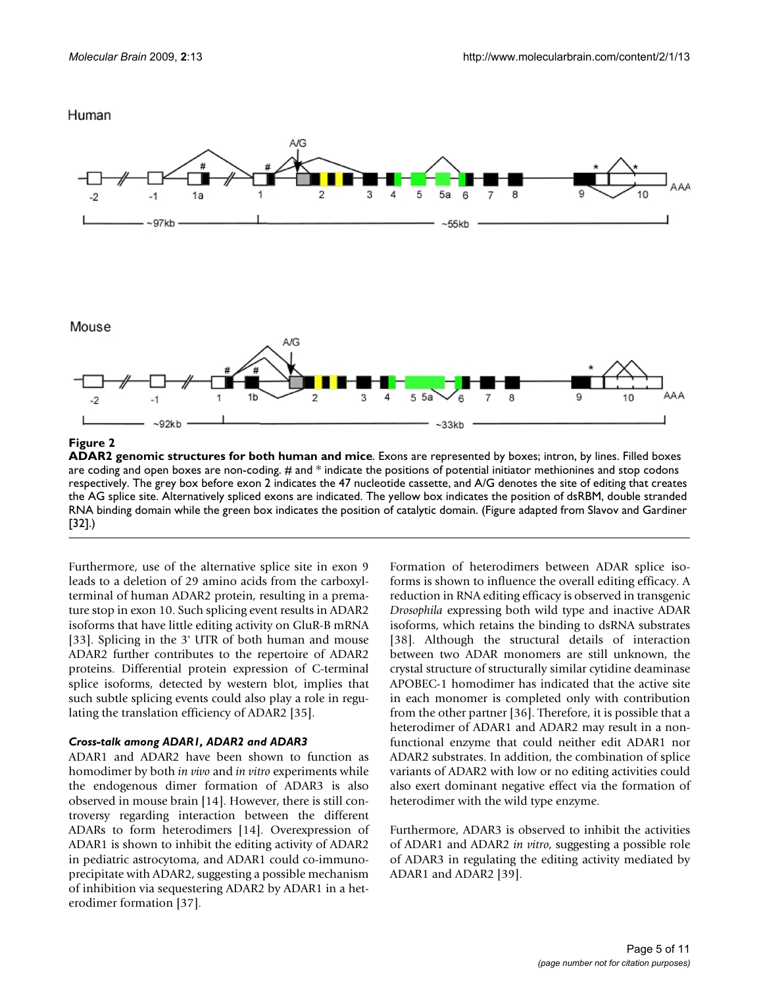# Human



**ADAR2 genomic structures for both human and mice**. Exons are represented by boxes; intron, by lines. Filled boxes are coding and open boxes are non-coding. # and \* indicate the positions of potential initiator methionines and stop codons respectively. The grey box before exon 2 indicates the 47 nucleotide cassette, and A/G denotes the site of editing that creates the AG splice site. Alternatively spliced exons are indicated. The yellow box indicates the position of dsRBM, double stranded RNA binding domain while the green box indicates the position of catalytic domain. (Figure adapted from Slavov and Gardiner [32].)

Furthermore, use of the alternative splice site in exon 9 leads to a deletion of 29 amino acids from the carboxylterminal of human ADAR2 protein, resulting in a premature stop in exon 10. Such splicing event results in ADAR2 isoforms that have little editing activity on GluR-B mRNA [33]. Splicing in the 3' UTR of both human and mouse ADAR2 further contributes to the repertoire of ADAR2 proteins. Differential protein expression of C-terminal splice isoforms, detected by western blot, implies that such subtle splicing events could also play a role in regulating the translation efficiency of ADAR2 [35].

# *Cross-talk among ADAR1, ADAR2 and ADAR3*

ADAR1 and ADAR2 have been shown to function as homodimer by both *in vivo* and *in vitro* experiments while the endogenous dimer formation of ADAR3 is also observed in mouse brain [14]. However, there is still controversy regarding interaction between the different ADARs to form heterodimers [14]. Overexpression of ADAR1 is shown to inhibit the editing activity of ADAR2 in pediatric astrocytoma, and ADAR1 could co-immunoprecipitate with ADAR2, suggesting a possible mechanism of inhibition via sequestering ADAR2 by ADAR1 in a heterodimer formation [37].

Formation of heterodimers between ADAR splice isoforms is shown to influence the overall editing efficacy. A reduction in RNA editing efficacy is observed in transgenic *Drosophila* expressing both wild type and inactive ADAR isoforms, which retains the binding to dsRNA substrates [38]. Although the structural details of interaction between two ADAR monomers are still unknown, the crystal structure of structurally similar cytidine deaminase APOBEC-1 homodimer has indicated that the active site in each monomer is completed only with contribution from the other partner [36]. Therefore, it is possible that a heterodimer of ADAR1 and ADAR2 may result in a nonfunctional enzyme that could neither edit ADAR1 nor ADAR2 substrates. In addition, the combination of splice variants of ADAR2 with low or no editing activities could also exert dominant negative effect via the formation of heterodimer with the wild type enzyme.

Furthermore, ADAR3 is observed to inhibit the activities of ADAR1 and ADAR2 *in vitro*, suggesting a possible role of ADAR3 in regulating the editing activity mediated by ADAR1 and ADAR2 [39].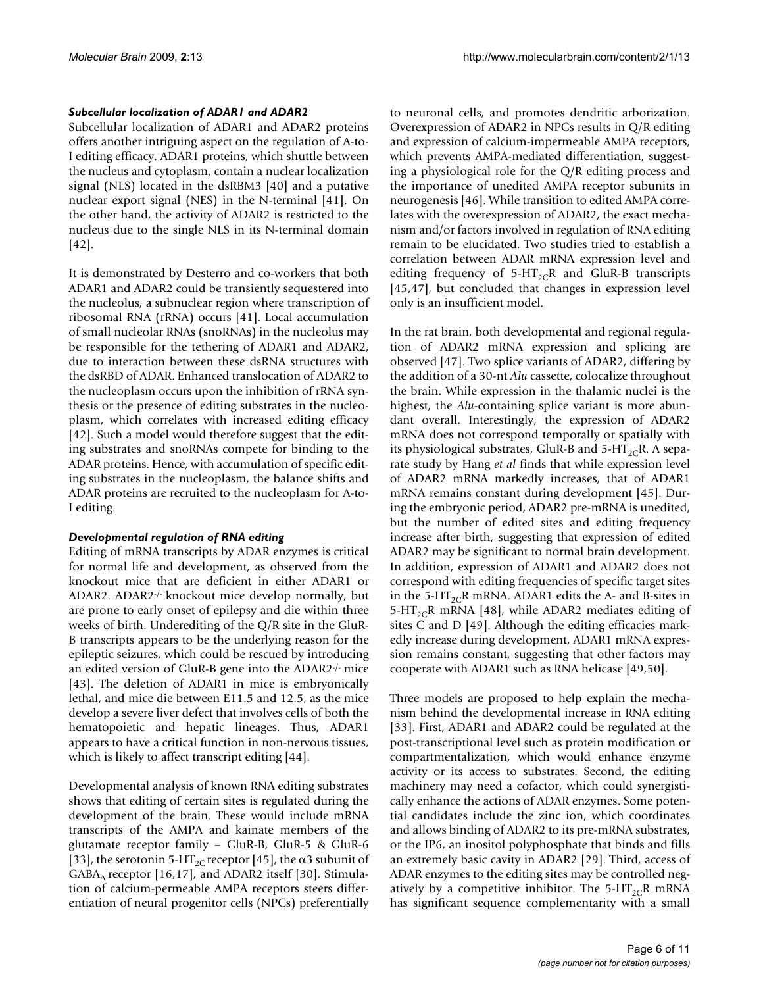### *Subcellular localization of ADAR1 and ADAR2*

Subcellular localization of ADAR1 and ADAR2 proteins offers another intriguing aspect on the regulation of A-to-I editing efficacy. ADAR1 proteins, which shuttle between the nucleus and cytoplasm, contain a nuclear localization signal (NLS) located in the dsRBM3 [40] and a putative nuclear export signal (NES) in the N-terminal [41]. On the other hand, the activity of ADAR2 is restricted to the nucleus due to the single NLS in its N-terminal domain [42].

It is demonstrated by Desterro and co-workers that both ADAR1 and ADAR2 could be transiently sequestered into the nucleolus, a subnuclear region where transcription of ribosomal RNA (rRNA) occurs [41]. Local accumulation of small nucleolar RNAs (snoRNAs) in the nucleolus may be responsible for the tethering of ADAR1 and ADAR2, due to interaction between these dsRNA structures with the dsRBD of ADAR. Enhanced translocation of ADAR2 to the nucleoplasm occurs upon the inhibition of rRNA synthesis or the presence of editing substrates in the nucleoplasm, which correlates with increased editing efficacy [42]. Such a model would therefore suggest that the editing substrates and snoRNAs compete for binding to the ADAR proteins. Hence, with accumulation of specific editing substrates in the nucleoplasm, the balance shifts and ADAR proteins are recruited to the nucleoplasm for A-to-I editing.

# *Developmental regulation of RNA editing*

Editing of mRNA transcripts by ADAR enzymes is critical for normal life and development, as observed from the knockout mice that are deficient in either ADAR1 or ADAR2. ADAR2-/- knockout mice develop normally, but are prone to early onset of epilepsy and die within three weeks of birth. Underediting of the Q/R site in the GluR-B transcripts appears to be the underlying reason for the epileptic seizures, which could be rescued by introducing an edited version of GluR-B gene into the ADAR2-/- mice [43]. The deletion of ADAR1 in mice is embryonically lethal, and mice die between E11.5 and 12.5, as the mice develop a severe liver defect that involves cells of both the hematopoietic and hepatic lineages. Thus, ADAR1 appears to have a critical function in non-nervous tissues, which is likely to affect transcript editing [44].

Developmental analysis of known RNA editing substrates shows that editing of certain sites is regulated during the development of the brain. These would include mRNA transcripts of the AMPA and kainate members of the glutamate receptor family – GluR-B, GluR-5 & GluR-6 [33], the serotonin 5-HT<sub>2C</sub> receptor [45], the  $\alpha$ 3 subunit of GABA<sub>A</sub> receptor [16,17], and ADAR2 itself [30]. Stimulation of calcium-permeable AMPA receptors steers differentiation of neural progenitor cells (NPCs) preferentially

to neuronal cells, and promotes dendritic arborization. Overexpression of ADAR2 in NPCs results in Q/R editing and expression of calcium-impermeable AMPA receptors, which prevents AMPA-mediated differentiation, suggesting a physiological role for the Q/R editing process and the importance of unedited AMPA receptor subunits in neurogenesis [46]. While transition to edited AMPA correlates with the overexpression of ADAR2, the exact mechanism and/or factors involved in regulation of RNA editing remain to be elucidated. Two studies tried to establish a correlation between ADAR mRNA expression level and editing frequency of  $5-HT_{2C}R$  and GluR-B transcripts [45,47], but concluded that changes in expression level only is an insufficient model.

In the rat brain, both developmental and regional regulation of ADAR2 mRNA expression and splicing are observed [47]. Two splice variants of ADAR2, differing by the addition of a 30-nt *Alu* cassette, colocalize throughout the brain. While expression in the thalamic nuclei is the highest, the *Alu*-containing splice variant is more abundant overall. Interestingly, the expression of ADAR2 mRNA does not correspond temporally or spatially with its physiological substrates, GluR-B and  $5-HT_{2C}R$ . A separate study by Hang *et al* finds that while expression level of ADAR2 mRNA markedly increases, that of ADAR1 mRNA remains constant during development [45]. During the embryonic period, ADAR2 pre-mRNA is unedited, but the number of edited sites and editing frequency increase after birth, suggesting that expression of edited ADAR2 may be significant to normal brain development. In addition, expression of ADAR1 and ADAR2 does not correspond with editing frequencies of specific target sites in the 5-HT<sub>2C</sub>R mRNA. ADAR1 edits the A- and B-sites in 5-HT<sub>2C</sub>R mRNA [48], while ADAR2 mediates editing of sites C and D [49]. Although the editing efficacies markedly increase during development, ADAR1 mRNA expression remains constant, suggesting that other factors may cooperate with ADAR1 such as RNA helicase [49,50].

Three models are proposed to help explain the mechanism behind the developmental increase in RNA editing [33]. First, ADAR1 and ADAR2 could be regulated at the post-transcriptional level such as protein modification or compartmentalization, which would enhance enzyme activity or its access to substrates. Second, the editing machinery may need a cofactor, which could synergistically enhance the actions of ADAR enzymes. Some potential candidates include the zinc ion, which coordinates and allows binding of ADAR2 to its pre-mRNA substrates, or the IP6, an inositol polyphosphate that binds and fills an extremely basic cavity in ADAR2 [29]. Third, access of ADAR enzymes to the editing sites may be controlled negatively by a competitive inhibitor. The 5-HT<sub>2C</sub>R mRNA has significant sequence complementarity with a small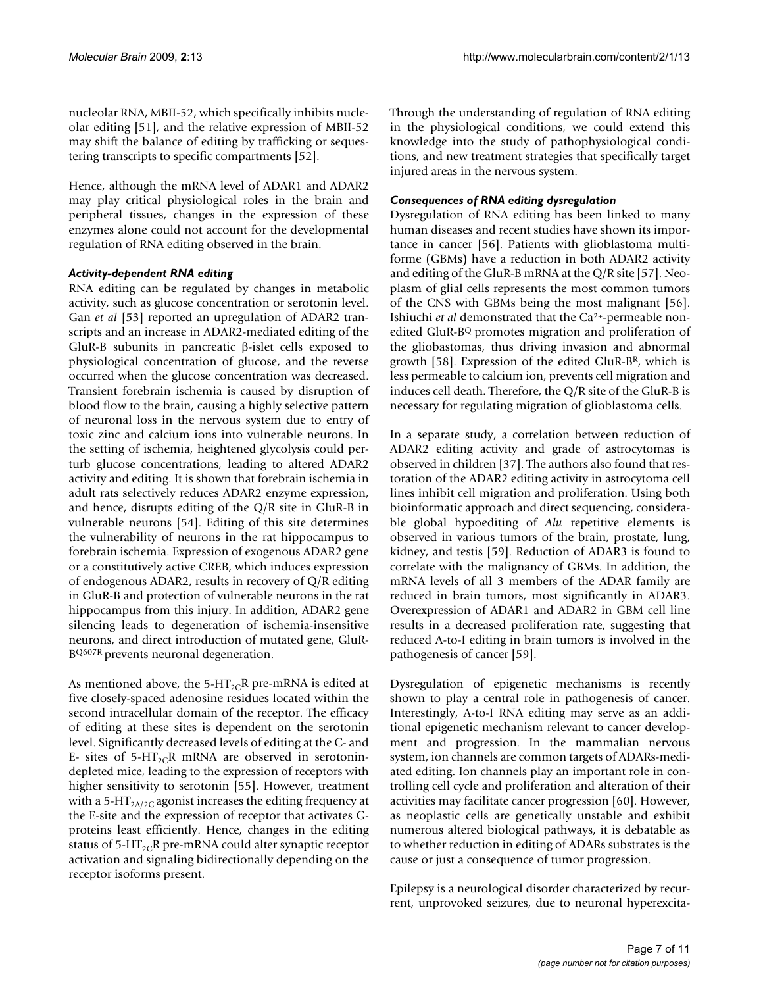nucleolar RNA, MBII-52, which specifically inhibits nucleolar editing [51], and the relative expression of MBII-52 may shift the balance of editing by trafficking or sequestering transcripts to specific compartments [52].

Hence, although the mRNA level of ADAR1 and ADAR2 may play critical physiological roles in the brain and peripheral tissues, changes in the expression of these enzymes alone could not account for the developmental regulation of RNA editing observed in the brain.

#### *Activity-dependent RNA editing*

RNA editing can be regulated by changes in metabolic activity, such as glucose concentration or serotonin level. Gan *et al* [53] reported an upregulation of ADAR2 transcripts and an increase in ADAR2-mediated editing of the GluR-B subunits in pancreatic β-islet cells exposed to physiological concentration of glucose, and the reverse occurred when the glucose concentration was decreased. Transient forebrain ischemia is caused by disruption of blood flow to the brain, causing a highly selective pattern of neuronal loss in the nervous system due to entry of toxic zinc and calcium ions into vulnerable neurons. In the setting of ischemia, heightened glycolysis could perturb glucose concentrations, leading to altered ADAR2 activity and editing. It is shown that forebrain ischemia in adult rats selectively reduces ADAR2 enzyme expression, and hence, disrupts editing of the Q/R site in GluR-B in vulnerable neurons [54]. Editing of this site determines the vulnerability of neurons in the rat hippocampus to forebrain ischemia. Expression of exogenous ADAR2 gene or a constitutively active CREB, which induces expression of endogenous ADAR2, results in recovery of Q/R editing in GluR-B and protection of vulnerable neurons in the rat hippocampus from this injury. In addition, ADAR2 gene silencing leads to degeneration of ischemia-insensitive neurons, and direct introduction of mutated gene, GluR-BQ607R prevents neuronal degeneration.

As mentioned above, the 5-HT<sub>2C</sub>R pre-mRNA is edited at five closely-spaced adenosine residues located within the second intracellular domain of the receptor. The efficacy of editing at these sites is dependent on the serotonin level. Significantly decreased levels of editing at the C- and E- sites of  $5-HT_{2C}R$  mRNA are observed in serotonindepleted mice, leading to the expression of receptors with higher sensitivity to serotonin [55]. However, treatment with a 5-HT<sub>2A/2C</sub> agonist increases the editing frequency at the E-site and the expression of receptor that activates Gproteins least efficiently. Hence, changes in the editing status of 5-HT<sub>2C</sub>R pre-mRNA could alter synaptic receptor activation and signaling bidirectionally depending on the receptor isoforms present.

Through the understanding of regulation of RNA editing in the physiological conditions, we could extend this knowledge into the study of pathophysiological conditions, and new treatment strategies that specifically target injured areas in the nervous system.

### *Consequences of RNA editing dysregulation*

Dysregulation of RNA editing has been linked to many human diseases and recent studies have shown its importance in cancer [56]. Patients with glioblastoma multiforme (GBMs) have a reduction in both ADAR2 activity and editing of the GluR-B mRNA at the Q/R site [57]. Neoplasm of glial cells represents the most common tumors of the CNS with GBMs being the most malignant [56]. Ishiuchi *et al* demonstrated that the Ca2+-permeable nonedited GluR-BQ promotes migration and proliferation of the gliobastomas, thus driving invasion and abnormal growth [58]. Expression of the edited GluR- $B<sup>R</sup>$ , which is less permeable to calcium ion, prevents cell migration and induces cell death. Therefore, the Q/R site of the GluR-B is necessary for regulating migration of glioblastoma cells.

In a separate study, a correlation between reduction of ADAR2 editing activity and grade of astrocytomas is observed in children [37]. The authors also found that restoration of the ADAR2 editing activity in astrocytoma cell lines inhibit cell migration and proliferation. Using both bioinformatic approach and direct sequencing, considerable global hypoediting of *Alu* repetitive elements is observed in various tumors of the brain, prostate, lung, kidney, and testis [59]. Reduction of ADAR3 is found to correlate with the malignancy of GBMs. In addition, the mRNA levels of all 3 members of the ADAR family are reduced in brain tumors, most significantly in ADAR3. Overexpression of ADAR1 and ADAR2 in GBM cell line results in a decreased proliferation rate, suggesting that reduced A-to-I editing in brain tumors is involved in the pathogenesis of cancer [59].

Dysregulation of epigenetic mechanisms is recently shown to play a central role in pathogenesis of cancer. Interestingly, A-to-I RNA editing may serve as an additional epigenetic mechanism relevant to cancer development and progression. In the mammalian nervous system, ion channels are common targets of ADARs-mediated editing. Ion channels play an important role in controlling cell cycle and proliferation and alteration of their activities may facilitate cancer progression [60]. However, as neoplastic cells are genetically unstable and exhibit numerous altered biological pathways, it is debatable as to whether reduction in editing of ADARs substrates is the cause or just a consequence of tumor progression.

Epilepsy is a neurological disorder characterized by recurrent, unprovoked seizures, due to neuronal hyperexcita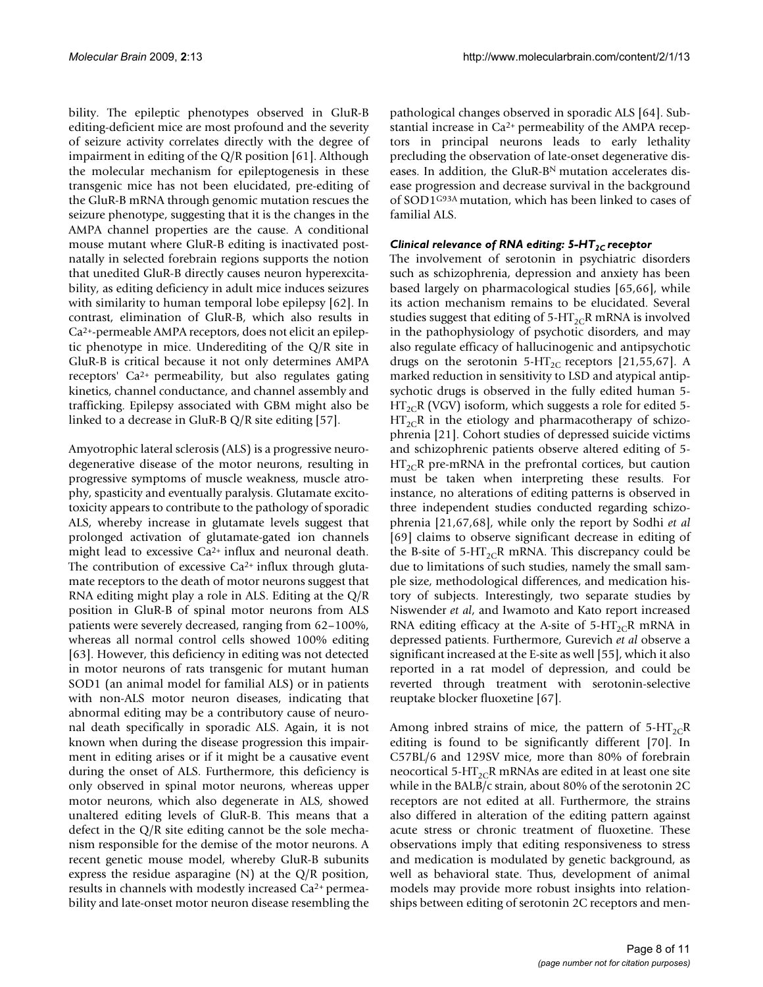bility. The epileptic phenotypes observed in GluR-B editing-deficient mice are most profound and the severity of seizure activity correlates directly with the degree of impairment in editing of the Q/R position [61]. Although the molecular mechanism for epileptogenesis in these transgenic mice has not been elucidated, pre-editing of the GluR-B mRNA through genomic mutation rescues the seizure phenotype, suggesting that it is the changes in the AMPA channel properties are the cause. A conditional mouse mutant where GluR-B editing is inactivated postnatally in selected forebrain regions supports the notion that unedited GluR-B directly causes neuron hyperexcitability, as editing deficiency in adult mice induces seizures with similarity to human temporal lobe epilepsy [62]. In contrast, elimination of GluR-B, which also results in Ca2+-permeable AMPA receptors, does not elicit an epileptic phenotype in mice. Underediting of the Q/R site in GluR-B is critical because it not only determines AMPA receptors' Ca2+ permeability, but also regulates gating kinetics, channel conductance, and channel assembly and trafficking. Epilepsy associated with GBM might also be linked to a decrease in GluR-B Q/R site editing [57].

Amyotrophic lateral sclerosis (ALS) is a progressive neurodegenerative disease of the motor neurons, resulting in progressive symptoms of muscle weakness, muscle atrophy, spasticity and eventually paralysis. Glutamate excitotoxicity appears to contribute to the pathology of sporadic ALS, whereby increase in glutamate levels suggest that prolonged activation of glutamate-gated ion channels might lead to excessive Ca<sup>2+</sup> influx and neuronal death. The contribution of excessive  $Ca^{2+}$  influx through glutamate receptors to the death of motor neurons suggest that RNA editing might play a role in ALS. Editing at the Q/R position in GluR-B of spinal motor neurons from ALS patients were severely decreased, ranging from 62–100%, whereas all normal control cells showed 100% editing [63]. However, this deficiency in editing was not detected in motor neurons of rats transgenic for mutant human SOD1 (an animal model for familial ALS) or in patients with non-ALS motor neuron diseases, indicating that abnormal editing may be a contributory cause of neuronal death specifically in sporadic ALS. Again, it is not known when during the disease progression this impairment in editing arises or if it might be a causative event during the onset of ALS. Furthermore, this deficiency is only observed in spinal motor neurons, whereas upper motor neurons, which also degenerate in ALS, showed unaltered editing levels of GluR-B. This means that a defect in the Q/R site editing cannot be the sole mechanism responsible for the demise of the motor neurons. A recent genetic mouse model, whereby GluR-B subunits express the residue asparagine (N) at the Q/R position, results in channels with modestly increased Ca2+ permeability and late-onset motor neuron disease resembling the

pathological changes observed in sporadic ALS [64]. Substantial increase in Ca2+ permeability of the AMPA receptors in principal neurons leads to early lethality precluding the observation of late-onset degenerative diseases. In addition, the GluR-BN mutation accelerates disease progression and decrease survival in the background of SOD1G93A mutation, which has been linked to cases of familial ALS.

# Clinical relevance of RNA editing: 5-HT<sub>2C</sub> receptor

The involvement of serotonin in psychiatric disorders such as schizophrenia, depression and anxiety has been based largely on pharmacological studies [65,66], while its action mechanism remains to be elucidated. Several studies suggest that editing of  $5-HT_{2C}R$  mRNA is involved in the pathophysiology of psychotic disorders, and may also regulate efficacy of hallucinogenic and antipsychotic drugs on the serotonin  $5-\text{HT}_{2C}$  receptors [21,55,67]. A marked reduction in sensitivity to LSD and atypical antipsychotic drugs is observed in the fully edited human 5-  $HT_{2C}R$  (VGV) isoform, which suggests a role for edited 5- $HT_{2C}R$  in the etiology and pharmacotherapy of schizophrenia [21]. Cohort studies of depressed suicide victims and schizophrenic patients observe altered editing of 5-  $HT_{2C}R$  pre-mRNA in the prefrontal cortices, but caution must be taken when interpreting these results. For instance, no alterations of editing patterns is observed in three independent studies conducted regarding schizophrenia [21,67,68], while only the report by Sodhi *et al* [69] claims to observe significant decrease in editing of the B-site of  $5-\text{HT}_{2C}R$  mRNA. This discrepancy could be due to limitations of such studies, namely the small sample size, methodological differences, and medication history of subjects. Interestingly, two separate studies by Niswender *et al*, and Iwamoto and Kato report increased RNA editing efficacy at the A-site of  $5-HT_{2C}R$  mRNA in depressed patients. Furthermore, Gurevich *et al* observe a significant increased at the E-site as well [55], which it also reported in a rat model of depression, and could be reverted through treatment with serotonin-selective reuptake blocker fluoxetine [67].

Among inbred strains of mice, the pattern of  $5-HT_{2C}R$ editing is found to be significantly different [70]. In C57BL/6 and 129SV mice, more than 80% of forebrain neocortical 5-HT<sub>2C</sub>R mRNAs are edited in at least one site while in the BALB/c strain, about 80% of the serotonin 2C receptors are not edited at all. Furthermore, the strains also differed in alteration of the editing pattern against acute stress or chronic treatment of fluoxetine. These observations imply that editing responsiveness to stress and medication is modulated by genetic background, as well as behavioral state. Thus, development of animal models may provide more robust insights into relationships between editing of serotonin 2C receptors and men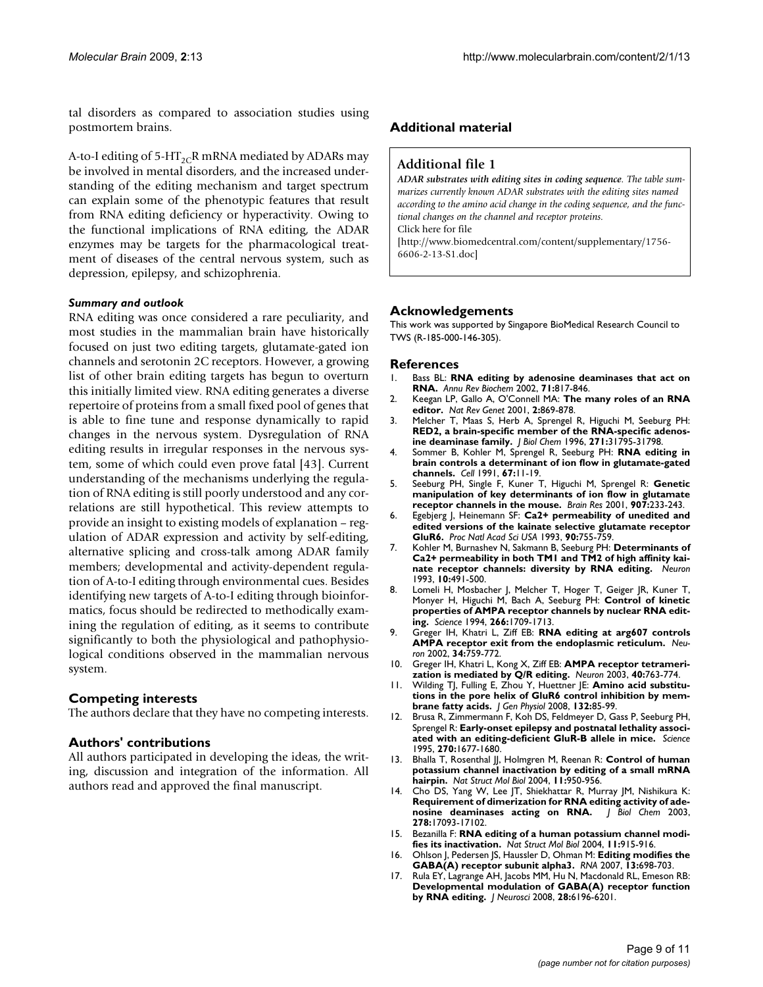tal disorders as compared to association studies using postmortem brains.

A-to-I editing of  $5-HT_{2C}R$  mRNA mediated by ADARs may be involved in mental disorders, and the increased understanding of the editing mechanism and target spectrum can explain some of the phenotypic features that result from RNA editing deficiency or hyperactivity. Owing to the functional implications of RNA editing, the ADAR enzymes may be targets for the pharmacological treatment of diseases of the central nervous system, such as depression, epilepsy, and schizophrenia.

#### *Summary and outlook*

RNA editing was once considered a rare peculiarity, and most studies in the mammalian brain have historically focused on just two editing targets, glutamate-gated ion channels and serotonin 2C receptors. However, a growing list of other brain editing targets has begun to overturn this initially limited view. RNA editing generates a diverse repertoire of proteins from a small fixed pool of genes that is able to fine tune and response dynamically to rapid changes in the nervous system. Dysregulation of RNA editing results in irregular responses in the nervous system, some of which could even prove fatal [43]. Current understanding of the mechanisms underlying the regulation of RNA editing is still poorly understood and any correlations are still hypothetical. This review attempts to provide an insight to existing models of explanation – regulation of ADAR expression and activity by self-editing, alternative splicing and cross-talk among ADAR family members; developmental and activity-dependent regulation of A-to-I editing through environmental cues. Besides identifying new targets of A-to-I editing through bioinformatics, focus should be redirected to methodically examining the regulation of editing, as it seems to contribute significantly to both the physiological and pathophysiological conditions observed in the mammalian nervous system.

#### **Competing interests**

The authors declare that they have no competing interests.

#### **Authors' contributions**

All authors participated in developing the ideas, the writing, discussion and integration of the information. All authors read and approved the final manuscript.

# **Additional material**

#### **Additional file 1**

*ADAR substrates with editing sites in coding sequence. The table summarizes currently known ADAR substrates with the editing sites named according to the amino acid change in the coding sequence, and the functional changes on the channel and receptor proteins.* Click here for file [\[http://www.biomedcentral.com/content/supplementary/1756-](http://www.biomedcentral.com/content/supplementary/1756-6606-2-13-S1.doc) 6606-2-13-S1.doc]

#### **Acknowledgements**

This work was supported by Singapore BioMedical Research Council to TWS (R-185-000-146-305).

#### **References**

- 1. Bass BL: **[RNA editing by adenosine deaminases that act on](http://www.ncbi.nlm.nih.gov/entrez/query.fcgi?cmd=Retrieve&db=PubMed&dopt=Abstract&list_uids=12045112) [RNA.](http://www.ncbi.nlm.nih.gov/entrez/query.fcgi?cmd=Retrieve&db=PubMed&dopt=Abstract&list_uids=12045112)** *Annu Rev Biochem* 2002, **71:**817-846.
- 2. Keegan LP, Gallo A, O'Connell MA: **[The many roles of an RNA](http://www.ncbi.nlm.nih.gov/entrez/query.fcgi?cmd=Retrieve&db=PubMed&dopt=Abstract&list_uids=11715042) [editor.](http://www.ncbi.nlm.nih.gov/entrez/query.fcgi?cmd=Retrieve&db=PubMed&dopt=Abstract&list_uids=11715042)** *Nat Rev Genet* 2001, **2:**869-878.
- 3. Melcher T, Maas S, Herb A, Sprengel R, Higuchi M, Seeburg PH: **[RED2, a brain-specific member of the RNA-specific adenos](http://www.ncbi.nlm.nih.gov/entrez/query.fcgi?cmd=Retrieve&db=PubMed&dopt=Abstract&list_uids=8943218)[ine deaminase family.](http://www.ncbi.nlm.nih.gov/entrez/query.fcgi?cmd=Retrieve&db=PubMed&dopt=Abstract&list_uids=8943218)** *J Biol Chem* 1996, **271:**31795-31798.
- 4. Sommer B, Kohler M, Sprengel R, Seeburg PH: **[RNA editing in](http://www.ncbi.nlm.nih.gov/entrez/query.fcgi?cmd=Retrieve&db=PubMed&dopt=Abstract&list_uids=1717158) [brain controls a determinant of ion flow in glutamate-gated](http://www.ncbi.nlm.nih.gov/entrez/query.fcgi?cmd=Retrieve&db=PubMed&dopt=Abstract&list_uids=1717158) [channels.](http://www.ncbi.nlm.nih.gov/entrez/query.fcgi?cmd=Retrieve&db=PubMed&dopt=Abstract&list_uids=1717158)** *Cell* 1991, **67:**11-19.
- 5. Seeburg PH, Single F, Kuner T, Higuchi M, Sprengel R: **[Genetic](http://www.ncbi.nlm.nih.gov/entrez/query.fcgi?cmd=Retrieve&db=PubMed&dopt=Abstract&list_uids=11430906) [manipulation of key determinants of ion flow in glutamate](http://www.ncbi.nlm.nih.gov/entrez/query.fcgi?cmd=Retrieve&db=PubMed&dopt=Abstract&list_uids=11430906) [receptor channels in the mouse.](http://www.ncbi.nlm.nih.gov/entrez/query.fcgi?cmd=Retrieve&db=PubMed&dopt=Abstract&list_uids=11430906)** *Brain Res* 2001, **907:**233-243.
- 6. Egebjerg J, Heinemann SF: **[Ca2+ permeability of unedited and](http://www.ncbi.nlm.nih.gov/entrez/query.fcgi?cmd=Retrieve&db=PubMed&dopt=Abstract&list_uids=7678465) [edited versions of the kainate selective glutamate receptor](http://www.ncbi.nlm.nih.gov/entrez/query.fcgi?cmd=Retrieve&db=PubMed&dopt=Abstract&list_uids=7678465) [GluR6.](http://www.ncbi.nlm.nih.gov/entrez/query.fcgi?cmd=Retrieve&db=PubMed&dopt=Abstract&list_uids=7678465)** *Proc Natl Acad Sci USA* 1993, **90:**755-759.
- 7. Kohler M, Burnashev N, Sakmann B, Seeburg PH: **[Determinants of](http://www.ncbi.nlm.nih.gov/entrez/query.fcgi?cmd=Retrieve&db=PubMed&dopt=Abstract&list_uids=7681676) [Ca2+ permeability in both TM1 and TM2 of high affinity kai](http://www.ncbi.nlm.nih.gov/entrez/query.fcgi?cmd=Retrieve&db=PubMed&dopt=Abstract&list_uids=7681676)[nate receptor channels: diversity by RNA editing.](http://www.ncbi.nlm.nih.gov/entrez/query.fcgi?cmd=Retrieve&db=PubMed&dopt=Abstract&list_uids=7681676)** *Neuron* 1993, **10:**491-500.
- 8. Lomeli H, Mosbacher J, Melcher T, Hoger T, Geiger JR, Kuner T, Monyer H, Higuchi M, Bach A, Seeburg PH: **[Control of kinetic](http://www.ncbi.nlm.nih.gov/entrez/query.fcgi?cmd=Retrieve&db=PubMed&dopt=Abstract&list_uids=7992055) [properties of AMPA receptor channels by nuclear RNA edit](http://www.ncbi.nlm.nih.gov/entrez/query.fcgi?cmd=Retrieve&db=PubMed&dopt=Abstract&list_uids=7992055)[ing.](http://www.ncbi.nlm.nih.gov/entrez/query.fcgi?cmd=Retrieve&db=PubMed&dopt=Abstract&list_uids=7992055)** *Science* 1994, **266:**1709-1713.
- 9. Greger IH, Khatri L, Ziff EB: **[RNA editing at arg607 controls](http://www.ncbi.nlm.nih.gov/entrez/query.fcgi?cmd=Retrieve&db=PubMed&dopt=Abstract&list_uids=12062022) [AMPA receptor exit from the endoplasmic reticulum.](http://www.ncbi.nlm.nih.gov/entrez/query.fcgi?cmd=Retrieve&db=PubMed&dopt=Abstract&list_uids=12062022)** *Neuron* 2002, **34:**759-772.
- 10. Greger IH, Khatri L, Kong X, Ziff EB: **[AMPA receptor tetrameri](http://www.ncbi.nlm.nih.gov/entrez/query.fcgi?cmd=Retrieve&db=PubMed&dopt=Abstract&list_uids=14622580)[zation is mediated by Q/R editing.](http://www.ncbi.nlm.nih.gov/entrez/query.fcgi?cmd=Retrieve&db=PubMed&dopt=Abstract&list_uids=14622580)** *Neuron* 2003, **40:**763-774.
- 11. Wilding TJ, Fulling E, Zhou Y, Huettner JE: **[Amino acid substitu](http://www.ncbi.nlm.nih.gov/entrez/query.fcgi?cmd=Retrieve&db=PubMed&dopt=Abstract&list_uids=18562501)[tions in the pore helix of GluR6 control inhibition by mem](http://www.ncbi.nlm.nih.gov/entrez/query.fcgi?cmd=Retrieve&db=PubMed&dopt=Abstract&list_uids=18562501)[brane fatty acids.](http://www.ncbi.nlm.nih.gov/entrez/query.fcgi?cmd=Retrieve&db=PubMed&dopt=Abstract&list_uids=18562501)** *J Gen Physiol* 2008, **132:**85-99.
- 12. Brusa R, Zimmermann F, Koh DS, Feldmeyer D, Gass P, Seeburg PH, Sprengel R: **[Early-onset epilepsy and postnatal lethality associ](http://www.ncbi.nlm.nih.gov/entrez/query.fcgi?cmd=Retrieve&db=PubMed&dopt=Abstract&list_uids=7502080)[ated with an editing-deficient GluR-B allele in mice.](http://www.ncbi.nlm.nih.gov/entrez/query.fcgi?cmd=Retrieve&db=PubMed&dopt=Abstract&list_uids=7502080)** *Science* 1995, **270:**1677-1680.
- 13. Bhalla T, Rosenthal JJ, Holmgren M, Reenan R: [Control of human](http://www.ncbi.nlm.nih.gov/entrez/query.fcgi?cmd=Retrieve&db=PubMed&dopt=Abstract&list_uids=15361858) **[potassium channel inactivation by editing of a small mRNA](http://www.ncbi.nlm.nih.gov/entrez/query.fcgi?cmd=Retrieve&db=PubMed&dopt=Abstract&list_uids=15361858) [hairpin.](http://www.ncbi.nlm.nih.gov/entrez/query.fcgi?cmd=Retrieve&db=PubMed&dopt=Abstract&list_uids=15361858)** *Nat Struct Mol Biol* 2004, **11:**950-956.
- 14. Cho DS, Yang W, Lee JT, Shiekhattar R, Murray JM, Nishikura K: **Requirement of dimerization for RNA editing activity of ade-<br>nosine deaminases acting on RNA.** | Biol Chem 2003, [nosine deaminases acting on RNA.](http://www.ncbi.nlm.nih.gov/entrez/query.fcgi?cmd=Retrieve&db=PubMed&dopt=Abstract&list_uids=12618436) **278:**17093-17102.
- 15. Bezanilla F: **[RNA editing of a human potassium channel modi](http://www.ncbi.nlm.nih.gov/entrez/query.fcgi?cmd=Retrieve&db=PubMed&dopt=Abstract&list_uids=15452561)[fies its inactivation.](http://www.ncbi.nlm.nih.gov/entrez/query.fcgi?cmd=Retrieve&db=PubMed&dopt=Abstract&list_uids=15452561)** *Nat Struct Mol Biol* 2004, **11:**915-916.
- 16. Ohlson J, Pedersen JS, Haussler D, Ohman M: **[Editing modifies the](http://www.ncbi.nlm.nih.gov/entrez/query.fcgi?cmd=Retrieve&db=PubMed&dopt=Abstract&list_uids=17369310) [GABA\(A\) receptor subunit alpha3.](http://www.ncbi.nlm.nih.gov/entrez/query.fcgi?cmd=Retrieve&db=PubMed&dopt=Abstract&list_uids=17369310)** *RNA* 2007, **13:**698-703.
- 17. Rula EY, Lagrange AH, Jacobs MM, Hu N, Macdonald RL, Emeson RB: **[Developmental modulation of GABA\(A\) receptor function](http://www.ncbi.nlm.nih.gov/entrez/query.fcgi?cmd=Retrieve&db=PubMed&dopt=Abstract&list_uids=18550761) [by RNA editing.](http://www.ncbi.nlm.nih.gov/entrez/query.fcgi?cmd=Retrieve&db=PubMed&dopt=Abstract&list_uids=18550761)** *J Neurosci* 2008, **28:**6196-6201.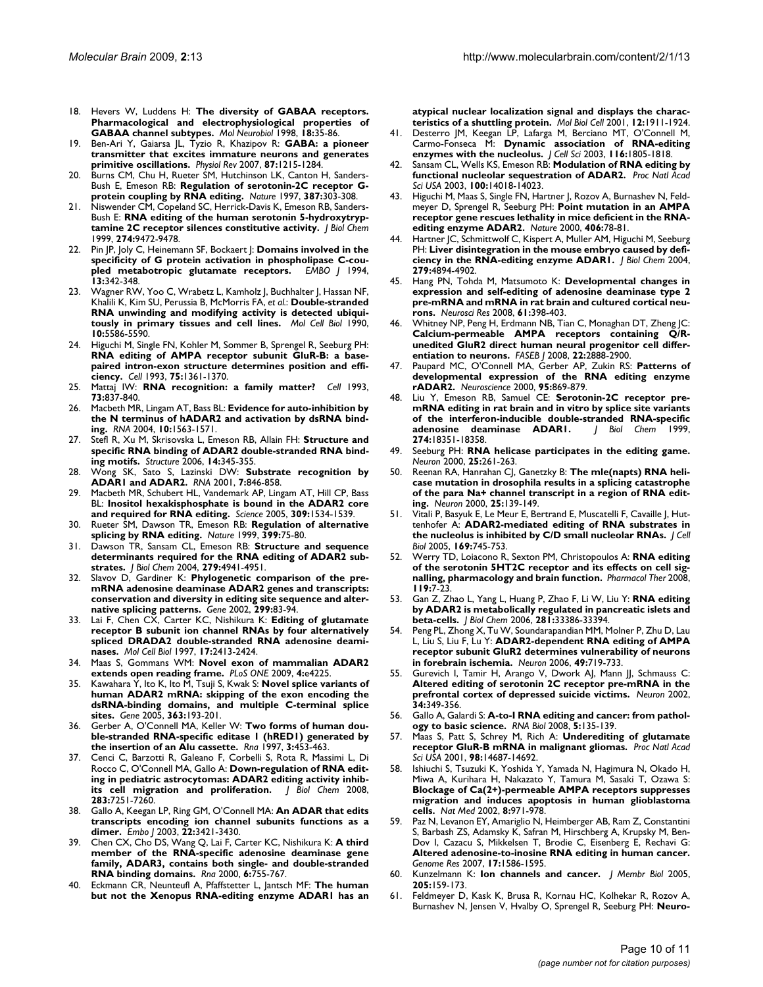- 18. Hevers W, Luddens H: **[The diversity of GABAA receptors.](http://www.ncbi.nlm.nih.gov/entrez/query.fcgi?cmd=Retrieve&db=PubMed&dopt=Abstract&list_uids=9824848) [Pharmacological and electrophysiological properties of](http://www.ncbi.nlm.nih.gov/entrez/query.fcgi?cmd=Retrieve&db=PubMed&dopt=Abstract&list_uids=9824848) [GABAA channel subtypes.](http://www.ncbi.nlm.nih.gov/entrez/query.fcgi?cmd=Retrieve&db=PubMed&dopt=Abstract&list_uids=9824848)** *Mol Neurobiol* 1998, **18:**35-86.
- 19. Ben-Ari Y, Gaiarsa JL, Tyzio R, Khazipov R: **[GABA: a pioneer](http://www.ncbi.nlm.nih.gov/entrez/query.fcgi?cmd=Retrieve&db=PubMed&dopt=Abstract&list_uids=17928584) [transmitter that excites immature neurons and generates](http://www.ncbi.nlm.nih.gov/entrez/query.fcgi?cmd=Retrieve&db=PubMed&dopt=Abstract&list_uids=17928584) [primitive oscillations.](http://www.ncbi.nlm.nih.gov/entrez/query.fcgi?cmd=Retrieve&db=PubMed&dopt=Abstract&list_uids=17928584)** *Physiol Rev* 2007, **87:**1215-1284.
- 20. Burns CM, Chu H, Rueter SM, Hutchinson LK, Canton H, Sanders-Bush E, Emeson RB: **[Regulation of serotonin-2C receptor G](http://www.ncbi.nlm.nih.gov/entrez/query.fcgi?cmd=Retrieve&db=PubMed&dopt=Abstract&list_uids=9153397)[protein coupling by RNA editing.](http://www.ncbi.nlm.nih.gov/entrez/query.fcgi?cmd=Retrieve&db=PubMed&dopt=Abstract&list_uids=9153397)** *Nature* 1997, **387:**303-308.
- 21. Niswender CM, Copeland SC, Herrick-Davis K, Emeson RB, Sanders-Bush E: **[RNA editing of the human serotonin 5-hydroxytryp](http://www.ncbi.nlm.nih.gov/entrez/query.fcgi?cmd=Retrieve&db=PubMed&dopt=Abstract&list_uids=10092629)[tamine 2C receptor silences constitutive activity.](http://www.ncbi.nlm.nih.gov/entrez/query.fcgi?cmd=Retrieve&db=PubMed&dopt=Abstract&list_uids=10092629)** *J Biol Chem* 1999, **274:**9472-9478.
- 22. Pin JP, Joly C, Heinemann SF, Bockaert J: **[Domains involved in the](http://www.ncbi.nlm.nih.gov/entrez/query.fcgi?cmd=Retrieve&db=PubMed&dopt=Abstract&list_uids=8313879) [specificity of G protein activation in phospholipase C-cou](http://www.ncbi.nlm.nih.gov/entrez/query.fcgi?cmd=Retrieve&db=PubMed&dopt=Abstract&list_uids=8313879)[pled metabotropic glutamate receptors.](http://www.ncbi.nlm.nih.gov/entrez/query.fcgi?cmd=Retrieve&db=PubMed&dopt=Abstract&list_uids=8313879)** *EMBO J* 1994, **13:**342-348.
- 23. Wagner RW, Yoo C, Wrabetz L, Kamholz J, Buchhalter J, Hassan NF, Khalili K, Kim SU, Perussia B, McMorris FA, *et al.*: **[Double-stranded](http://www.ncbi.nlm.nih.gov/entrez/query.fcgi?cmd=Retrieve&db=PubMed&dopt=Abstract&list_uids=2398905) [RNA unwinding and modifying activity is detected ubiqui](http://www.ncbi.nlm.nih.gov/entrez/query.fcgi?cmd=Retrieve&db=PubMed&dopt=Abstract&list_uids=2398905)[tously in primary tissues and cell lines.](http://www.ncbi.nlm.nih.gov/entrez/query.fcgi?cmd=Retrieve&db=PubMed&dopt=Abstract&list_uids=2398905)** *Mol Cell Biol* 1990, **10:**5586-5590.
- 24. Higuchi M, Single FN, Kohler M, Sommer B, Sprengel R, Seeburg PH: **[RNA editing of AMPA receptor subunit GluR-B: a base](http://www.ncbi.nlm.nih.gov/entrez/query.fcgi?cmd=Retrieve&db=PubMed&dopt=Abstract&list_uids=8269514)paired intron-exon structure determines position and effi[ciency.](http://www.ncbi.nlm.nih.gov/entrez/query.fcgi?cmd=Retrieve&db=PubMed&dopt=Abstract&list_uids=8269514)** *Cell* 1993, **75:**1361-1370.
- 25. Mattaj IW: **[RNA recognition: a family matter?](http://www.ncbi.nlm.nih.gov/entrez/query.fcgi?cmd=Retrieve&db=PubMed&dopt=Abstract&list_uids=8500177)** *Cell* 1993, **73:**837-840.
- 26. Macbeth MR, Lingam AT, Bass BL: **[Evidence for auto-inhibition by](http://www.ncbi.nlm.nih.gov/entrez/query.fcgi?cmd=Retrieve&db=PubMed&dopt=Abstract&list_uids=15383678) [the N terminus of hADAR2 and activation by dsRNA bind](http://www.ncbi.nlm.nih.gov/entrez/query.fcgi?cmd=Retrieve&db=PubMed&dopt=Abstract&list_uids=15383678)[ing.](http://www.ncbi.nlm.nih.gov/entrez/query.fcgi?cmd=Retrieve&db=PubMed&dopt=Abstract&list_uids=15383678)** *RNA* 2004, **10:**1563-1571.
- 27. Stefl R, Xu M, Skrisovska L, Emeson RB, Allain FH: **[Structure and](http://www.ncbi.nlm.nih.gov/entrez/query.fcgi?cmd=Retrieve&db=PubMed&dopt=Abstract&list_uids=16472753) [specific RNA binding of ADAR2 double-stranded RNA bind](http://www.ncbi.nlm.nih.gov/entrez/query.fcgi?cmd=Retrieve&db=PubMed&dopt=Abstract&list_uids=16472753)[ing motifs.](http://www.ncbi.nlm.nih.gov/entrez/query.fcgi?cmd=Retrieve&db=PubMed&dopt=Abstract&list_uids=16472753)** *Structure* 2006, **14:**345-355.
- 28. Wong SK, Sato S, Lazinski DW: **[Substrate recognition by](http://www.ncbi.nlm.nih.gov/entrez/query.fcgi?cmd=Retrieve&db=PubMed&dopt=Abstract&list_uids=11421361) [ADAR1 and ADAR2.](http://www.ncbi.nlm.nih.gov/entrez/query.fcgi?cmd=Retrieve&db=PubMed&dopt=Abstract&list_uids=11421361)** *RNA* 2001, **7:**846-858.
- 29. Macbeth MR, Schubert HL, Vandemark AP, Lingam AT, Hill CP, Bass BL: **[Inositol hexakisphosphate is bound in the ADAR2 core](http://www.ncbi.nlm.nih.gov/entrez/query.fcgi?cmd=Retrieve&db=PubMed&dopt=Abstract&list_uids=16141067) [and required for RNA editing.](http://www.ncbi.nlm.nih.gov/entrez/query.fcgi?cmd=Retrieve&db=PubMed&dopt=Abstract&list_uids=16141067)** *Science* 2005, **309:**1534-1539.
- 30. Rueter SM, Dawson TR, Emeson RB: **[Regulation of alternative](http://www.ncbi.nlm.nih.gov/entrez/query.fcgi?cmd=Retrieve&db=PubMed&dopt=Abstract&list_uids=10331393) [splicing by RNA editing.](http://www.ncbi.nlm.nih.gov/entrez/query.fcgi?cmd=Retrieve&db=PubMed&dopt=Abstract&list_uids=10331393)** *Nature* 1999, **399:**75-80.
- 31. Dawson TR, Sansam CL, Emeson RB: **[Structure and sequence](http://www.ncbi.nlm.nih.gov/entrez/query.fcgi?cmd=Retrieve&db=PubMed&dopt=Abstract&list_uids=14660658) [determinants required for the RNA editing of ADAR2 sub](http://www.ncbi.nlm.nih.gov/entrez/query.fcgi?cmd=Retrieve&db=PubMed&dopt=Abstract&list_uids=14660658)[strates.](http://www.ncbi.nlm.nih.gov/entrez/query.fcgi?cmd=Retrieve&db=PubMed&dopt=Abstract&list_uids=14660658)** *J Biol Chem* 2004, **279:**4941-4951.
- 32. Slavov D, Gardiner K: **[Phylogenetic comparison of the pre](http://www.ncbi.nlm.nih.gov/entrez/query.fcgi?cmd=Retrieve&db=PubMed&dopt=Abstract&list_uids=12459255)[mRNA adenosine deaminase ADAR2 genes and transcripts:](http://www.ncbi.nlm.nih.gov/entrez/query.fcgi?cmd=Retrieve&db=PubMed&dopt=Abstract&list_uids=12459255) conservation and diversity in editing site sequence and alter[native splicing patterns.](http://www.ncbi.nlm.nih.gov/entrez/query.fcgi?cmd=Retrieve&db=PubMed&dopt=Abstract&list_uids=12459255)** *Gene* 2002, **299:**83-94.
- 33. Lai F, Chen CX, Carter KC, Nishikura K: **[Editing of glutamate](http://www.ncbi.nlm.nih.gov/entrez/query.fcgi?cmd=Retrieve&db=PubMed&dopt=Abstract&list_uids=9111310) [receptor B subunit ion channel RNAs by four alternatively](http://www.ncbi.nlm.nih.gov/entrez/query.fcgi?cmd=Retrieve&db=PubMed&dopt=Abstract&list_uids=9111310) spliced DRADA2 double-stranded RNA adenosine deami[nases.](http://www.ncbi.nlm.nih.gov/entrez/query.fcgi?cmd=Retrieve&db=PubMed&dopt=Abstract&list_uids=9111310)** *Mol Cell Biol* 1997, **17:**2413-2424.
- 34. Maas S, Gommans WM: **[Novel exon of mammalian ADAR2](http://www.ncbi.nlm.nih.gov/entrez/query.fcgi?cmd=Retrieve&db=PubMed&dopt=Abstract&list_uids=19156214) [extends open reading frame.](http://www.ncbi.nlm.nih.gov/entrez/query.fcgi?cmd=Retrieve&db=PubMed&dopt=Abstract&list_uids=19156214)** *PLoS ONE* 2009, **4:**e4225.
- 35. Kawahara Y, Ito K, Ito M, Tsuji S, Kwak S: **[Novel splice variants of](http://www.ncbi.nlm.nih.gov/entrez/query.fcgi?cmd=Retrieve&db=PubMed&dopt=Abstract&list_uids=16297572) [human ADAR2 mRNA: skipping of the exon encoding the](http://www.ncbi.nlm.nih.gov/entrez/query.fcgi?cmd=Retrieve&db=PubMed&dopt=Abstract&list_uids=16297572) dsRNA-binding domains, and multiple C-terminal splice [sites.](http://www.ncbi.nlm.nih.gov/entrez/query.fcgi?cmd=Retrieve&db=PubMed&dopt=Abstract&list_uids=16297572)** *Gene* 2005, **363:**193-201.
- 36. Gerber A, O'Connell MA, Keller W: **[Two forms of human dou](http://www.ncbi.nlm.nih.gov/entrez/query.fcgi?cmd=Retrieve&db=PubMed&dopt=Abstract&list_uids=9149227)[ble-stranded RNA-specific editase 1 \(hRED1\) generated by](http://www.ncbi.nlm.nih.gov/entrez/query.fcgi?cmd=Retrieve&db=PubMed&dopt=Abstract&list_uids=9149227) [the insertion of an Alu cassette.](http://www.ncbi.nlm.nih.gov/entrez/query.fcgi?cmd=Retrieve&db=PubMed&dopt=Abstract&list_uids=9149227)** *Rna* 1997, **3:**453-463.
- 37. Cenci C, Barzotti R, Galeano F, Corbelli S, Rota R, Massimi L, Di Rocco C, O'Connell MA, Gallo A: **[Down-regulation of RNA edit](http://www.ncbi.nlm.nih.gov/entrez/query.fcgi?cmd=Retrieve&db=PubMed&dopt=Abstract&list_uids=18178553)[ing in pediatric astrocytomas: ADAR2 editing activity inhib](http://www.ncbi.nlm.nih.gov/entrez/query.fcgi?cmd=Retrieve&db=PubMed&dopt=Abstract&list_uids=18178553)[its cell migration and proliferation.](http://www.ncbi.nlm.nih.gov/entrez/query.fcgi?cmd=Retrieve&db=PubMed&dopt=Abstract&list_uids=18178553)** *J Biol Chem* 2008, **283:**7251-7260.
- 38. Gallo A, Keegan LP, Ring GM, O'Connell MA: **[An ADAR that edits](http://www.ncbi.nlm.nih.gov/entrez/query.fcgi?cmd=Retrieve&db=PubMed&dopt=Abstract&list_uids=12840004) [transcripts encoding ion channel subunits functions as a](http://www.ncbi.nlm.nih.gov/entrez/query.fcgi?cmd=Retrieve&db=PubMed&dopt=Abstract&list_uids=12840004) [dimer.](http://www.ncbi.nlm.nih.gov/entrez/query.fcgi?cmd=Retrieve&db=PubMed&dopt=Abstract&list_uids=12840004)** *Embo J* 2003, **22:**3421-3430.
- 39. Chen CX, Cho DS, Wang Q, Lai F, Carter KC, Nishikura K: **[A third](http://www.ncbi.nlm.nih.gov/entrez/query.fcgi?cmd=Retrieve&db=PubMed&dopt=Abstract&list_uids=10836796) [member of the RNA-specific adenosine deaminase gene](http://www.ncbi.nlm.nih.gov/entrez/query.fcgi?cmd=Retrieve&db=PubMed&dopt=Abstract&list_uids=10836796) family, ADAR3, contains both single- and double-stranded [RNA binding domains.](http://www.ncbi.nlm.nih.gov/entrez/query.fcgi?cmd=Retrieve&db=PubMed&dopt=Abstract&list_uids=10836796)** *Rna* 2000, **6:**755-767.
- 40. Eckmann CR, Neunteufl A, Pfaffstetter L, Jantsch MF: **[The human](http://www.ncbi.nlm.nih.gov/entrez/query.fcgi?cmd=Retrieve&db=PubMed&dopt=Abstract&list_uids=11451992) [but not the Xenopus RNA-editing enzyme ADAR1 has an](http://www.ncbi.nlm.nih.gov/entrez/query.fcgi?cmd=Retrieve&db=PubMed&dopt=Abstract&list_uids=11451992)**

**[atypical nuclear localization signal and displays the charac](http://www.ncbi.nlm.nih.gov/entrez/query.fcgi?cmd=Retrieve&db=PubMed&dopt=Abstract&list_uids=11451992)[teristics of a shuttling protein.](http://www.ncbi.nlm.nih.gov/entrez/query.fcgi?cmd=Retrieve&db=PubMed&dopt=Abstract&list_uids=11451992)** *Mol Biol Cell* 2001, **12:**1911-1924.

- 41. Desterro JM, Keegan LP, Lafarga M, Berciano MT, O'Connell M, Carmo-Fonseca M: **[Dynamic association of RNA-editing](http://www.ncbi.nlm.nih.gov/entrez/query.fcgi?cmd=Retrieve&db=PubMed&dopt=Abstract&list_uids=12665561) [enzymes with the nucleolus.](http://www.ncbi.nlm.nih.gov/entrez/query.fcgi?cmd=Retrieve&db=PubMed&dopt=Abstract&list_uids=12665561)** *J Cell Sci* 2003, **116:**1805-1818.
- 42. Sansam CL, Wells KS, Emeson RB: **[Modulation of RNA editing by](http://www.ncbi.nlm.nih.gov/entrez/query.fcgi?cmd=Retrieve&db=PubMed&dopt=Abstract&list_uids=14612560) [functional nucleolar sequestration of ADAR2.](http://www.ncbi.nlm.nih.gov/entrez/query.fcgi?cmd=Retrieve&db=PubMed&dopt=Abstract&list_uids=14612560)** *Proc Natl Acad Sci USA* 2003, **100:**14018-14023.
- 43. Higuchi M, Maas S, Single FN, Hartner J, Rozov A, Burnashev N, Feldmeyer D, Sprengel R, Seeburg PH: **[Point mutation in an AMPA](http://www.ncbi.nlm.nih.gov/entrez/query.fcgi?cmd=Retrieve&db=PubMed&dopt=Abstract&list_uids=10894545) [receptor gene rescues lethality in mice deficient in the RNA](http://www.ncbi.nlm.nih.gov/entrez/query.fcgi?cmd=Retrieve&db=PubMed&dopt=Abstract&list_uids=10894545)[editing enzyme ADAR2.](http://www.ncbi.nlm.nih.gov/entrez/query.fcgi?cmd=Retrieve&db=PubMed&dopt=Abstract&list_uids=10894545)** *Nature* 2000, **406:**78-81.
- 44. Hartner JC, Schmittwolf C, Kispert A, Muller AM, Higuchi M, Seeburg PH: **[Liver disintegration in the mouse embryo caused by defi](http://www.ncbi.nlm.nih.gov/entrez/query.fcgi?cmd=Retrieve&db=PubMed&dopt=Abstract&list_uids=14615479)[ciency in the RNA-editing enzyme ADAR1.](http://www.ncbi.nlm.nih.gov/entrez/query.fcgi?cmd=Retrieve&db=PubMed&dopt=Abstract&list_uids=14615479)** *J Biol Chem* 2004, **279:**4894-4902.
- 45. Hang PN, Tohda M, Matsumoto K: **[Developmental changes in](http://www.ncbi.nlm.nih.gov/entrez/query.fcgi?cmd=Retrieve&db=PubMed&dopt=Abstract&list_uids=18534702) [expression and self-editing of adenosine deaminase type 2](http://www.ncbi.nlm.nih.gov/entrez/query.fcgi?cmd=Retrieve&db=PubMed&dopt=Abstract&list_uids=18534702) pre-mRNA and mRNA in rat brain and cultured cortical neu[rons.](http://www.ncbi.nlm.nih.gov/entrez/query.fcgi?cmd=Retrieve&db=PubMed&dopt=Abstract&list_uids=18534702)** *Neurosci Res* 2008, **61:**398-403.
- 46. Whitney NP, Peng H, Erdmann NB, Tian C, Monaghan DT, Zheng JC: Calcium-permeable **AMPA** receptors containing **unedited GluR2 direct human neural progenitor cell differ[entiation to neurons.](http://www.ncbi.nlm.nih.gov/entrez/query.fcgi?cmd=Retrieve&db=PubMed&dopt=Abstract&list_uids=18403631)** *FASEB J* 2008, **22:**2888-2900.
- 47. Paupard MC, O'Connell MA, Gerber AP, Zukin RS: **[Patterns of](http://www.ncbi.nlm.nih.gov/entrez/query.fcgi?cmd=Retrieve&db=PubMed&dopt=Abstract&list_uids=10670454) [developmental expression of the RNA editing enzyme](http://www.ncbi.nlm.nih.gov/entrez/query.fcgi?cmd=Retrieve&db=PubMed&dopt=Abstract&list_uids=10670454) [rADAR2.](http://www.ncbi.nlm.nih.gov/entrez/query.fcgi?cmd=Retrieve&db=PubMed&dopt=Abstract&list_uids=10670454)** *Neuroscience* 2000, **95:**869-879.
- 48. Liu Y, Emeson RB, Samuel CE: **[Serotonin-2C receptor pre](http://www.ncbi.nlm.nih.gov/entrez/query.fcgi?cmd=Retrieve&db=PubMed&dopt=Abstract&list_uids=10373439)mRNA editing in rat brain and in vitro by splice site variants** [of the interferon-inducible double-stranded RNA-specific](http://www.ncbi.nlm.nih.gov/entrez/query.fcgi?cmd=Retrieve&db=PubMed&dopt=Abstract&list_uids=10373439)<br>adenosine deaminase **ADARI**. *J Biol Chem* 1999, adenosine deaminase **ADARI**. **274:**18351-18358.
- 49. Seeburg PH: **[RNA helicase participates in the editing game.](http://www.ncbi.nlm.nih.gov/entrez/query.fcgi?cmd=Retrieve&db=PubMed&dopt=Abstract&list_uids=10719882)** *Neuron* 2000, **25:**261-263.
- 50. Reenan RA, Hanrahan CJ, Ganetzky B: **[The mle\(napts\) RNA heli](http://www.ncbi.nlm.nih.gov/entrez/query.fcgi?cmd=Retrieve&db=PubMed&dopt=Abstract&list_uids=10707979)[case mutation in drosophila results in a splicing catastrophe](http://www.ncbi.nlm.nih.gov/entrez/query.fcgi?cmd=Retrieve&db=PubMed&dopt=Abstract&list_uids=10707979) of the para Na+ channel transcript in a region of RNA edit[ing.](http://www.ncbi.nlm.nih.gov/entrez/query.fcgi?cmd=Retrieve&db=PubMed&dopt=Abstract&list_uids=10707979)** *Neuron* 2000, **25:**139-149.
- 51. Vitali P, Basyuk E, Le Meur E, Bertrand E, Muscatelli F, Cavaille J, Huttenhofer A: **[ADAR2-mediated editing of RNA substrates in](http://www.ncbi.nlm.nih.gov/entrez/query.fcgi?cmd=Retrieve&db=PubMed&dopt=Abstract&list_uids=15939761) [the nucleolus is inhibited by C/D small nucleolar RNAs.](http://www.ncbi.nlm.nih.gov/entrez/query.fcgi?cmd=Retrieve&db=PubMed&dopt=Abstract&list_uids=15939761)** *J Cell Biol* 2005, **169:**745-753.
- 52. Werry TD, Loiacono R, Sexton PM, Christopoulos A: **[RNA editing](http://www.ncbi.nlm.nih.gov/entrez/query.fcgi?cmd=Retrieve&db=PubMed&dopt=Abstract&list_uids=18554725) [of the serotonin 5HT2C receptor and its effects on cell sig](http://www.ncbi.nlm.nih.gov/entrez/query.fcgi?cmd=Retrieve&db=PubMed&dopt=Abstract&list_uids=18554725)[nalling, pharmacology and brain function.](http://www.ncbi.nlm.nih.gov/entrez/query.fcgi?cmd=Retrieve&db=PubMed&dopt=Abstract&list_uids=18554725)** *Pharmacol Ther* 2008, **119:**7-23.
- 53. Gan Z, Zhao L, Yang L, Huang P, Zhao F, Li W, Liu Y: **[RNA editing](http://www.ncbi.nlm.nih.gov/entrez/query.fcgi?cmd=Retrieve&db=PubMed&dopt=Abstract&list_uids=16956888) [by ADAR2 is metabolically regulated in pancreatic islets and](http://www.ncbi.nlm.nih.gov/entrez/query.fcgi?cmd=Retrieve&db=PubMed&dopt=Abstract&list_uids=16956888) [beta-cells.](http://www.ncbi.nlm.nih.gov/entrez/query.fcgi?cmd=Retrieve&db=PubMed&dopt=Abstract&list_uids=16956888)** *J Biol Chem* 2006, **281:**33386-33394.
- 54. Peng PL, Zhong X, Tu W, Soundarapandian MM, Molner P, Zhu D, Lau L, Liu S, Liu F, Lu Y: **[ADAR2-dependent RNA editing of AMPA](http://www.ncbi.nlm.nih.gov/entrez/query.fcgi?cmd=Retrieve&db=PubMed&dopt=Abstract&list_uids=16504947) [receptor subunit GluR2 determines vulnerability of neurons](http://www.ncbi.nlm.nih.gov/entrez/query.fcgi?cmd=Retrieve&db=PubMed&dopt=Abstract&list_uids=16504947) [in forebrain ischemia.](http://www.ncbi.nlm.nih.gov/entrez/query.fcgi?cmd=Retrieve&db=PubMed&dopt=Abstract&list_uids=16504947)** *Neuron* 2006, **49:**719-733.
- Gurevich I, Tamir H, Arango V, Dwork AJ, Mann JJ, Schmauss C: **[Altered editing of serotonin 2C receptor pre-mRNA in the](http://www.ncbi.nlm.nih.gov/entrez/query.fcgi?cmd=Retrieve&db=PubMed&dopt=Abstract&list_uids=11988167) [prefrontal cortex of depressed suicide victims.](http://www.ncbi.nlm.nih.gov/entrez/query.fcgi?cmd=Retrieve&db=PubMed&dopt=Abstract&list_uids=11988167)** *Neuron* 2002, **34:**349-356.
- Gallo A, Galardi S: [A-to-I RNA editing and cancer: from pathol](http://www.ncbi.nlm.nih.gov/entrez/query.fcgi?cmd=Retrieve&db=PubMed&dopt=Abstract&list_uids=18758244)**[ogy to basic science.](http://www.ncbi.nlm.nih.gov/entrez/query.fcgi?cmd=Retrieve&db=PubMed&dopt=Abstract&list_uids=18758244)** *RNA Biol* 2008, **5:**135-139.
- 57. Maas S, Patt S, Schrey M, Rich A: **[Underediting of glutamate](http://www.ncbi.nlm.nih.gov/entrez/query.fcgi?cmd=Retrieve&db=PubMed&dopt=Abstract&list_uids=11717408) [receptor GluR-B mRNA in malignant gliomas.](http://www.ncbi.nlm.nih.gov/entrez/query.fcgi?cmd=Retrieve&db=PubMed&dopt=Abstract&list_uids=11717408)** *Proc Natl Acad Sci USA* 2001, **98:**14687-14692.
- Ishiuchi S, Tsuzuki K, Yoshida Y, Yamada N, Hagimura N, Okado H, Miwa A, Kurihara H, Nakazato Y, Tamura M, Sasaki T, Ozawa S: **[Blockage of Ca\(2+\)-permeable AMPA receptors suppresses](http://www.ncbi.nlm.nih.gov/entrez/query.fcgi?cmd=Retrieve&db=PubMed&dopt=Abstract&list_uids=12172541) migration and induces apoptosis in human glioblastoma [cells.](http://www.ncbi.nlm.nih.gov/entrez/query.fcgi?cmd=Retrieve&db=PubMed&dopt=Abstract&list_uids=12172541)** *Nat Med* 2002, **8:**971-978.
- Paz N, Levanon EY, Amariglio N, Heimberger AB, Ram Z, Constantini S, Barbash ZS, Adamsky K, Safran M, Hirschberg A, Krupsky M, Ben-Dov I, Cazacu S, Mikkelsen T, Brodie C, Eisenberg E, Rechavi G: **[Altered adenosine-to-inosine RNA editing in human cancer.](http://www.ncbi.nlm.nih.gov/entrez/query.fcgi?cmd=Retrieve&db=PubMed&dopt=Abstract&list_uids=17908822)** *Genome Res* 2007, **17:**1586-1595.
- 60. Kunzelmann K: **[Ion channels and cancer.](http://www.ncbi.nlm.nih.gov/entrez/query.fcgi?cmd=Retrieve&db=PubMed&dopt=Abstract&list_uids=16362504)** *J Membr Biol* 2005, **205:**159-173.
- 61. Feldmeyer D, Kask K, Brusa R, Kornau HC, Kolhekar R, Rozov A, Burnashev N, Jensen V, Hvalby O, Sprengel R, Seeburg PH: **[Neuro](http://www.ncbi.nlm.nih.gov/entrez/query.fcgi?cmd=Retrieve&db=PubMed&dopt=Abstract&list_uids=10195181)-**